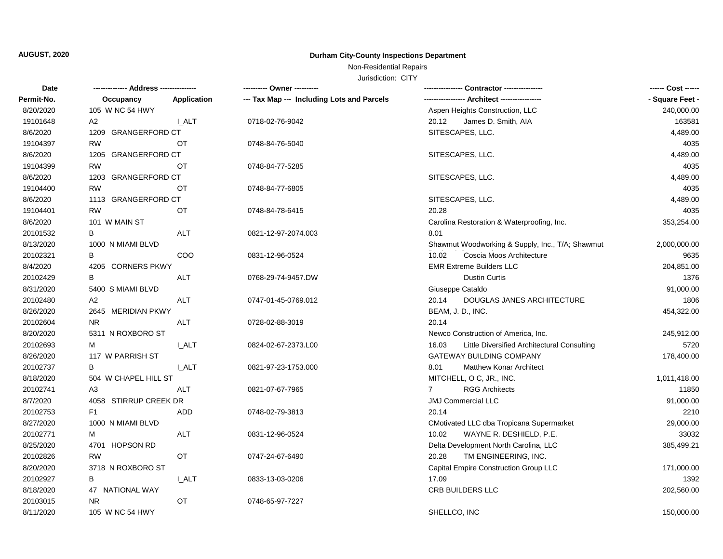# **AUGUST, 2020 Durham City-County Inspections Department**

## Non-Residential Repairs

Jurisdiction: CITY

| Date       |                       |              |                                            |                                                      | ------ Cost ------ |
|------------|-----------------------|--------------|--------------------------------------------|------------------------------------------------------|--------------------|
| Permit-No. | Occupancy             | Application  | --- Tax Map --- Including Lots and Parcels |                                                      | - Square Feet -    |
| 8/20/2020  | 105 W NC 54 HWY       |              |                                            | Aspen Heights Construction, LLC                      | 240,000.00         |
| 19101648   | A <sub>2</sub>        | I ALT        | 0718-02-76-9042                            | 20.12<br>James D. Smith, AIA                         | 163581             |
| 8/6/2020   | 1209 GRANGERFORD CT   |              |                                            | SITESCAPES, LLC.                                     | 4,489.00           |
| 19104397   | <b>RW</b>             | ОT           | 0748-84-76-5040                            |                                                      | 4035               |
| 8/6/2020   | 1205 GRANGERFORD CT   |              |                                            | SITESCAPES, LLC.                                     | 4,489.00           |
| 19104399   | <b>RW</b>             | OT           | 0748-84-77-5285                            |                                                      | 4035               |
| 8/6/2020   | 1203 GRANGERFORD CT   |              |                                            | SITESCAPES, LLC.                                     | 4,489.00           |
| 19104400   | <b>RW</b>             | ОT           | 0748-84-77-6805                            |                                                      | 4035               |
| 8/6/2020   | 1113 GRANGERFORD CT   |              |                                            | SITESCAPES, LLC.                                     | 4,489.00           |
| 19104401   | <b>RW</b>             | OT           | 0748-84-78-6415                            | 20.28                                                | 4035               |
| 8/6/2020   | 101 W MAIN ST         |              |                                            | Carolina Restoration & Waterproofing, Inc.           | 353,254.00         |
| 20101532   | В                     | <b>ALT</b>   | 0821-12-97-2074.003                        | 8.01                                                 |                    |
| 8/13/2020  | 1000 N MIAMI BLVD     |              |                                            | Shawmut Woodworking & Supply, Inc., T/A; Shawmut     | 2,000,000.00       |
| 20102321   | В                     | COO          | 0831-12-96-0524                            | 10.02<br>Coscia Moos Architecture                    | 9635               |
| 8/4/2020   | 4205 CORNERS PKWY     |              |                                            | <b>EMR Extreme Builders LLC</b>                      | 204,851.00         |
| 20102429   | B                     | <b>ALT</b>   | 0768-29-74-9457.DW                         | <b>Dustin Curtis</b>                                 | 1376               |
| 8/31/2020  | 5400 S MIAMI BLVD     |              |                                            | Giuseppe Cataldo                                     | 91,000.00          |
| 20102480   | A2                    | <b>ALT</b>   | 0747-01-45-0769.012                        | 20.14<br>DOUGLAS JANES ARCHITECTURE                  | 1806               |
| 8/26/2020  | 2645 MERIDIAN PKWY    |              |                                            | BEAM, J. D., INC.                                    | 454,322.00         |
| 20102604   | <b>NR</b>             | <b>ALT</b>   | 0728-02-88-3019                            | 20.14                                                |                    |
| 8/20/2020  | 5311 N ROXBORO ST     |              |                                            | Newco Construction of America, Inc.                  | 245,912.00         |
| 20102693   | м                     | <b>L_ALT</b> | 0824-02-67-2373.L00                        | 16.03<br>Little Diversified Architectural Consulting | 5720               |
| 8/26/2020  | 117 W PARRISH ST      |              |                                            | GATEWAY BUILDING COMPANY                             | 178,400.00         |
| 20102737   | B                     | I ALT        | 0821-97-23-1753.000                        | 8.01<br><b>Matthew Konar Architect</b>               |                    |
| 8/18/2020  | 504 W CHAPEL HILL ST  |              |                                            | MITCHELL, O C, JR., INC.                             | 1,011,418.00       |
| 20102741   | A <sub>3</sub>        | <b>ALT</b>   | 0821-07-67-7965                            | <b>RGG Architects</b><br>$\overline{7}$              | 11850              |
| 8/7/2020   | 4058 STIRRUP CREEK DR |              |                                            | <b>JMJ Commercial LLC</b>                            | 91,000.00          |
| 20102753   | F <sub>1</sub>        | <b>ADD</b>   | 0748-02-79-3813                            | 20.14                                                | 2210               |
| 8/27/2020  | 1000 N MIAMI BLVD     |              |                                            | CMotivated LLC dba Tropicana Supermarket             | 29,000.00          |
| 20102771   | м                     | <b>ALT</b>   | 0831-12-96-0524                            | 10.02<br>WAYNE R. DESHIELD, P.E.                     | 33032              |
| 8/25/2020  | 4701 HOPSON RD        |              |                                            | Delta Development North Carolina, LLC                | 385,499.21         |
| 20102826   | <b>RW</b>             | <b>OT</b>    | 0747-24-67-6490                            | TM ENGINEERING, INC.<br>20.28                        |                    |
| 8/20/2020  | 3718 N ROXBORO ST     |              |                                            | Capital Empire Construction Group LLC                | 171,000.00         |
| 20102927   | B                     | <b>L_ALT</b> | 0833-13-03-0206                            | 17.09                                                | 1392               |
| 8/18/2020  | 47 NATIONAL WAY       |              |                                            | CRB BUILDERS LLC                                     | 202,560.00         |
| 20103015   | NR.                   | OT           | 0748-65-97-7227                            |                                                      |                    |
| 8/11/2020  | 105 W NC 54 HWY       |              |                                            | SHELLCO, INC                                         | 150,000.00         |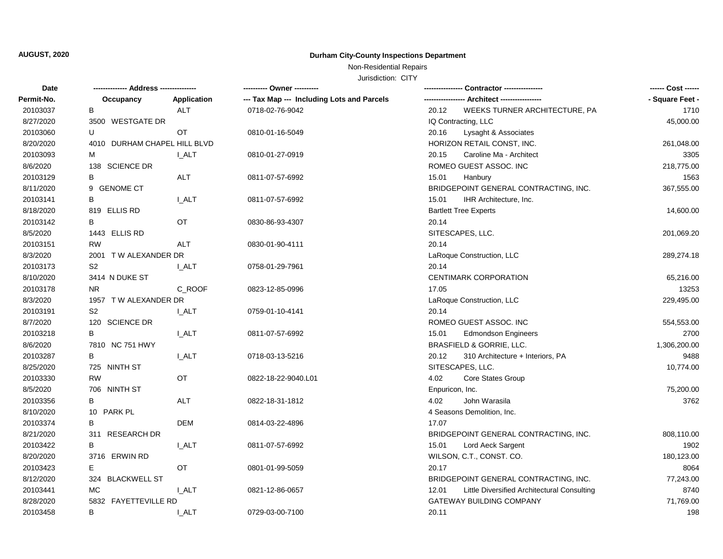## **AUGUST, 2020 Durham City-County Inspections Department**

## Non-Residential Repairs

Jurisdiction: CITY

| Date       |                              |                    |                                            |                                                      | ------ Cost ------ |
|------------|------------------------------|--------------------|--------------------------------------------|------------------------------------------------------|--------------------|
| Permit-No. | Occupancy                    | <b>Application</b> | --- Tax Map --- Including Lots and Parcels |                                                      | - Square Feet -    |
| 20103037   | В                            | <b>ALT</b>         | 0718-02-76-9042                            | 20.12<br>WEEKS TURNER ARCHITECTURE, PA               | 1710               |
| 8/27/2020  | 3500 WESTGATE DR             |                    |                                            | IQ Contracting, LLC                                  | 45,000.00          |
| 20103060   | U                            | OT                 | 0810-01-16-5049                            | 20.16<br>Lysaght & Associates                        |                    |
| 8/20/2020  | 4010 DURHAM CHAPEL HILL BLVD |                    |                                            | HORIZON RETAIL CONST, INC.                           | 261,048.00         |
| 20103093   | М                            | <b>I_ALT</b>       | 0810-01-27-0919                            | 20.15<br>Caroline Ma - Architect                     | 3305               |
| 8/6/2020   | 138 SCIENCE DR               |                    |                                            | ROMEO GUEST ASSOC. INC                               | 218,775.00         |
| 20103129   | В                            | <b>ALT</b>         | 0811-07-57-6992                            | 15.01<br>Hanbury                                     | 1563               |
| 8/11/2020  | 9 GENOME CT                  |                    |                                            | BRIDGEPOINT GENERAL CONTRACTING, INC.                | 367,555.00         |
| 20103141   | В                            | I_ALT              | 0811-07-57-6992                            | 15.01<br>IHR Architecture, Inc.                      |                    |
| 8/18/2020  | 819 ELLIS RD                 |                    |                                            | <b>Bartlett Tree Experts</b>                         | 14,600.00          |
| 20103142   | В                            | OT                 | 0830-86-93-4307                            | 20.14                                                |                    |
| 8/5/2020   | 1443 ELLIS RD                |                    |                                            | SITESCAPES, LLC.                                     | 201,069.20         |
| 20103151   | <b>RW</b>                    | <b>ALT</b>         | 0830-01-90-4111                            | 20.14                                                |                    |
| 8/3/2020   | 2001 TW ALEXANDER DR         |                    |                                            | LaRoque Construction, LLC                            | 289,274.18         |
| 20103173   | S <sub>2</sub>               | <b>L_ALT</b>       | 0758-01-29-7961                            | 20.14                                                |                    |
| 8/10/2020  | 3414 N DUKE ST               |                    |                                            | <b>CENTIMARK CORPORATION</b>                         | 65,216.00          |
| 20103178   | NR.                          | C_ROOF             | 0823-12-85-0996                            | 17.05                                                | 13253              |
| 8/3/2020   | 1957 TW ALEXANDER DR         |                    |                                            | LaRoque Construction, LLC                            | 229,495.00         |
| 20103191   | S <sub>2</sub>               | <b>L_ALT</b>       | 0759-01-10-4141                            | 20.14                                                |                    |
| 8/7/2020   | 120 SCIENCE DR               |                    |                                            | ROMEO GUEST ASSOC. INC                               | 554,553.00         |
| 20103218   | B                            | <b>L_ALT</b>       | 0811-07-57-6992                            | 15.01<br><b>Edmondson Engineers</b>                  | 2700               |
| 8/6/2020   | 7810 NC 751 HWY              |                    |                                            | BRASFIELD & GORRIE, LLC.                             | 1,306,200.00       |
| 20103287   | B                            | <b>L_ALT</b>       | 0718-03-13-5216                            | 20.12<br>310 Architecture + Interiors, PA            | 9488               |
| 8/25/2020  | 725 NINTH ST                 |                    |                                            | SITESCAPES, LLC.                                     | 10,774.00          |
| 20103330   | <b>RW</b>                    | OT                 | 0822-18-22-9040.L01                        | 4.02<br>Core States Group                            |                    |
| 8/5/2020   | 706 NINTH ST                 |                    |                                            | Enpuricon, Inc.                                      | 75,200.00          |
| 20103356   | B                            | <b>ALT</b>         | 0822-18-31-1812                            | 4.02<br>John Warasila                                | 3762               |
| 8/10/2020  | 10 PARK PL                   |                    |                                            | 4 Seasons Demolition, Inc.                           |                    |
| 20103374   | В                            | <b>DEM</b>         | 0814-03-22-4896                            | 17.07                                                |                    |
| 8/21/2020  | 311 RESEARCH DR              |                    |                                            | BRIDGEPOINT GENERAL CONTRACTING, INC.                | 808,110.00         |
| 20103422   | В                            | <b>L_ALT</b>       | 0811-07-57-6992                            | 15.01<br>Lord Aeck Sargent                           | 1902               |
| 8/20/2020  | 3716 ERWIN RD                |                    |                                            | WILSON, C.T., CONST. CO.                             | 180,123.00         |
| 20103423   | E.                           | OT                 | 0801-01-99-5059                            | 20.17                                                | 8064               |
| 8/12/2020  | 324 BLACKWELL ST             |                    |                                            | BRIDGEPOINT GENERAL CONTRACTING, INC.                | 77,243.00          |
| 20103441   | МC                           | I ALT              | 0821-12-86-0657                            | Little Diversified Architectural Consulting<br>12.01 | 8740               |
| 8/28/2020  | 5832 FAYETTEVILLE RD         |                    |                                            | GATEWAY BUILDING COMPANY                             | 71,769.00          |
| 20103458   | B                            | <b>I_ALT</b>       | 0729-03-00-7100                            | 20.11                                                | 198                |